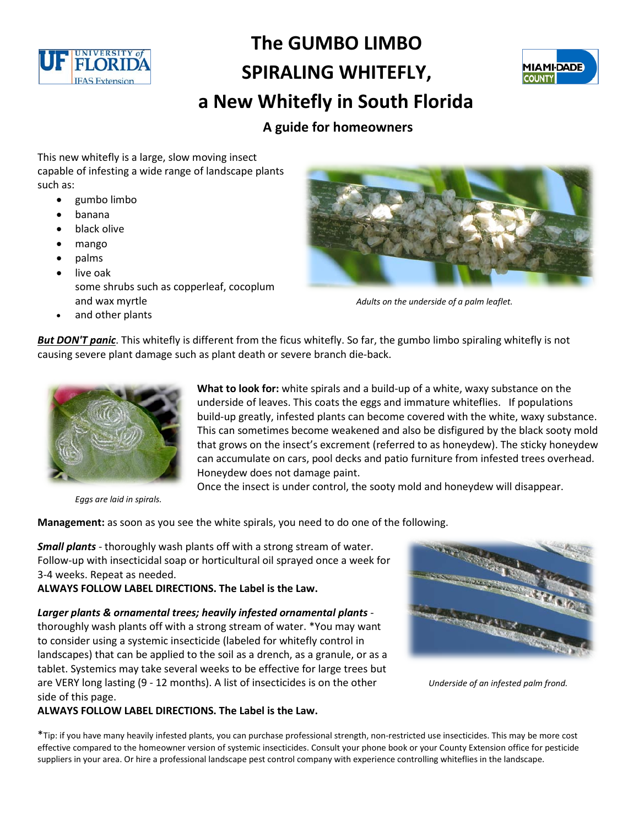

# **The GUMBO LIMBO SPIRALING WHITEFLY, a New Whitefly in South Florida**



# **A guide for homeowners**

This new whitefly is a large, slow moving insect capable of infesting a wide range of landscape plants such as:

- gumbo limbo
- banana
- black olive
- mango
- palms
- live oak some shrubs such as copperleaf, cocoplum
- and other plants



and wax myrtle *Adults on the underside of a palm leaflet.*

*But DON'T panic*. This whitefly is different from the ficus whitefly. So far, the gumbo limbo spiraling whitefly is not causing severe plant damage such as plant death or severe branch die-back.



*Eggs are laid in spirals.*

**What to look for:** white spirals and a build-up of a white, waxy substance on the underside of leaves. This coats the eggs and immature whiteflies. If populations build-up greatly, infested plants can become covered with the white, waxy substance. This can sometimes become weakened and also be disfigured by the black sooty mold that grows on the insect's excrement (referred to as honeydew). The sticky honeydew can accumulate on cars, pool decks and patio furniture from infested trees overhead. Honeydew does not damage paint.

Once the insect is under control, the sooty mold and honeydew will disappear.

**Management:** as soon as you see the white spirals, you need to do one of the following.

*Small plants* - thoroughly wash plants off with a strong stream of water. Follow-up with insecticidal soap or horticultural oil sprayed once a week for 3-4 weeks. Repeat as needed.

**ALWAYS FOLLOW LABEL DIRECTIONS. The Label is the Law.**

*Larger plants & ornamental trees; heavily infested ornamental plants* thoroughly wash plants off with a strong stream of water. \*You may want to consider using a systemic insecticide (labeled for whitefly control in landscapes) that can be applied to the soil as a drench, as a granule, or as a tablet. Systemics may take several weeks to be effective for large trees but are VERY long lasting (9 - 12 months). A list of insecticides is on the other *Underside of an infested palm frond.* side of this page.



**ALWAYS FOLLOW LABEL DIRECTIONS. The Label is the Law.**

\*Tip: if you have many heavily infested plants, you can purchase professional strength, non-restricted use insecticides. This may be more cost effective compared to the homeowner version of systemic insecticides. Consult your phone book or your County Extension office for pesticide suppliers in your area. Or hire a professional landscape pest control company with experience controlling whiteflies in the landscape.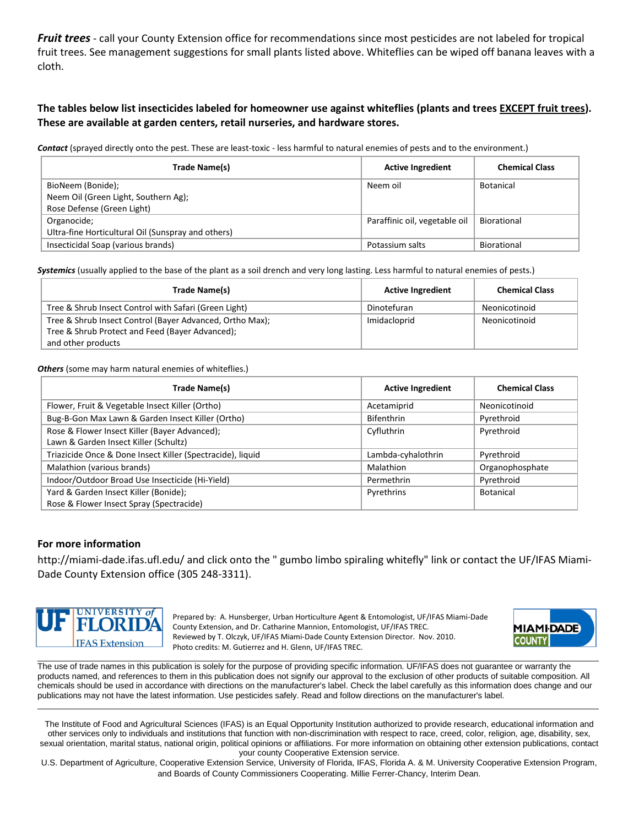*Fruit trees* - call your County Extension office for recommendations since most pesticides are not labeled for tropical fruit trees. See management suggestions for small plants listed above. Whiteflies can be wiped off banana leaves with a cloth.

#### **The tables below list insecticides labeled for homeowner use against whiteflies (plants and trees EXCEPT fruit trees). These are available at garden centers, retail nurseries, and hardware stores.**

*Contact* (sprayed directly onto the pest. These are least-toxic - less harmful to natural enemies of pests and to the environment.)

| Trade Name(s)                                      | <b>Active Ingredient</b>      | <b>Chemical Class</b> |
|----------------------------------------------------|-------------------------------|-----------------------|
| BioNeem (Bonide);                                  | Neem oil                      | <b>Botanical</b>      |
| Neem Oil (Green Light, Southern Ag);               |                               |                       |
| Rose Defense (Green Light)                         |                               |                       |
| Organocide;                                        | Paraffinic oil, vegetable oil | Biorational           |
| Ultra-fine Horticultural Oil (Sunspray and others) |                               |                       |
| Insecticidal Soap (various brands)                 | Potassium salts               | Biorational           |

*Systemics* (usually applied to the base of the plant as a soil drench and very long lasting. Less harmful to natural enemies of pests.)

| Trade Name(s)                                            | <b>Active Ingredient</b> | <b>Chemical Class</b> |
|----------------------------------------------------------|--------------------------|-----------------------|
| Tree & Shrub Insect Control with Safari (Green Light)    | Dinotefuran              | Neonicotinoid         |
| Tree & Shrub Insect Control (Bayer Advanced, Ortho Max); | Imidacloprid             | Neonicotinoid         |
| Tree & Shrub Protect and Feed (Bayer Advanced);          |                          |                       |
| and other products                                       |                          |                       |

*Others* (some may harm natural enemies of whiteflies.)

| Trade Name(s)                                                                          | <b>Active Ingredient</b> | <b>Chemical Class</b> |
|----------------------------------------------------------------------------------------|--------------------------|-----------------------|
| Flower, Fruit & Vegetable Insect Killer (Ortho)                                        | Acetamiprid              | Neonicotinoid         |
| Bug-B-Gon Max Lawn & Garden Insect Killer (Ortho)                                      | <b>Bifenthrin</b>        | Pyrethroid            |
| Rose & Flower Insect Killer (Bayer Advanced);<br>Lawn & Garden Insect Killer (Schultz) | Cyfluthrin               | Pyrethroid            |
| Triazicide Once & Done Insect Killer (Spectracide), liquid                             | Lambda-cyhalothrin       | Pyrethroid            |
| Malathion (various brands)                                                             | Malathion                | Organophosphate       |
| Indoor/Outdoor Broad Use Insecticide (Hi-Yield)                                        | Permethrin               | Pyrethroid            |
| Yard & Garden Insect Killer (Bonide);<br>Rose & Flower Insect Spray (Spectracide)      | Pyrethrins               | <b>Botanical</b>      |

#### **For more information**

http://miami-dade.ifas.ufl.edu/ and click onto the " gumbo limbo spiraling whitefly" link or contact the UF/IFAS Miami-Dade County Extension office (305 248-3311).



Prepared by: A. Hunsberger, Urban Horticulture Agent & Entomologist, UF/IFAS Miami-Dade County Extension, and Dr. Catharine Mannion, Entomologist, UF/IFAS TREC. Reviewed by T. Olczyk, UF/IFAS Miami-Dade County Extension Director. Nov. 2010. Photo credits: M. Gutierrez and H. Glenn, UF/IFAS TREC.



\_\_\_\_\_\_\_\_\_\_\_\_\_\_\_\_\_\_\_\_\_\_\_\_\_\_\_\_\_\_\_\_\_\_\_\_\_\_\_\_\_\_\_\_\_\_\_\_\_\_\_\_\_\_\_\_\_\_\_\_\_\_\_\_\_\_\_\_\_\_\_\_\_\_\_\_\_\_\_\_\_\_\_\_\_\_\_\_\_\_\_\_\_\_\_\_\_\_\_\_\_\_\_\_\_\_\_\_\_\_\_\_\_\_\_\_\_\_\_\_\_ The use of trade names in this publication is solely for the purpose of providing specific information. UF/IFAS does not guarantee or warranty the products named, and references to them in this publication does not signify our approval to the exclusion of other products of suitable composition. All chemicals should be used in accordance with directions on the manufacturer's label. Check the label carefully as this information does change and our publications may not have the latest information. Use pesticides safely. Read and follow directions on the manufacturer's label.

The Institute of Food and Agricultural Sciences (IFAS) is an Equal Opportunity Institution authorized to provide research, educational information and other services only to individuals and institutions that function with non-discrimination with respect to race, creed, color, religion, age, disability, sex, sexual orientation, marital status, national origin, political opinions or affiliations. For more information on obtaining other extension publications, contact your county Cooperative Extension service.

\_\_\_\_\_\_\_\_\_\_\_\_\_\_\_\_\_\_\_\_\_\_\_\_\_\_\_\_\_\_\_\_\_\_\_\_\_\_\_\_\_\_\_\_\_\_\_\_\_\_\_\_\_\_\_\_\_\_\_\_\_\_\_\_\_\_\_\_\_\_\_\_\_\_\_\_\_\_\_\_\_\_\_\_\_\_\_\_\_\_\_\_\_\_\_\_\_\_\_\_\_\_\_\_\_\_\_\_\_\_\_\_\_\_\_\_\_\_\_\_\_

U.S. Department of Agriculture, Cooperative Extension Service, University of Florida, IFAS, Florida A. & M. University Cooperative Extension Program, and Boards of County Commissioners Cooperating. Millie Ferrer-Chancy, Interim Dean.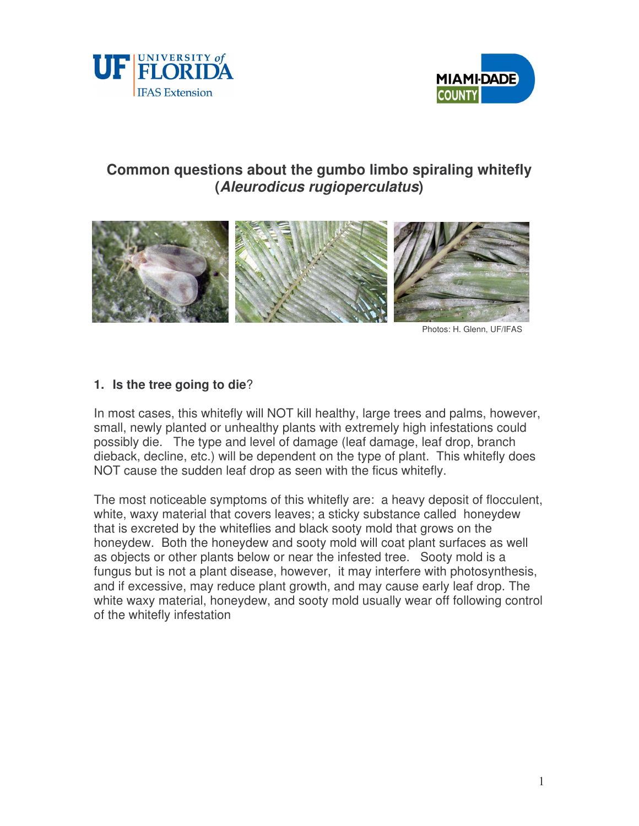



# **Common questions about the gumbo limbo spiraling whitefly (***Aleurodicus rugioperculatus***)**



Photos: H. Glenn, UF/IFAS

# **1. Is the tree going to die**?

In most cases, this whitefly will NOT kill healthy, large trees and palms, however, small, newly planted or unhealthy plants with extremely high infestations could possibly die. The type and level of damage (leaf damage, leaf drop, branch dieback, decline, etc.) will be dependent on the type of plant. This whitefly does NOT cause the sudden leaf drop as seen with the ficus whitefly.

The most noticeable symptoms of this whitefly are: a heavy deposit of flocculent, white, waxy material that covers leaves; a sticky substance called honeydew that is excreted by the whiteflies and black sooty mold that grows on the honeydew. Both the honeydew and sooty mold will coat plant surfaces as well as objects or other plants below or near the infested tree. Sooty mold is a fungus but is not a plant disease, however, it may interfere with photosynthesis, and if excessive, may reduce plant growth, and may cause early leaf drop. The white waxy material, honeydew, and sooty mold usually wear off following control of the whitefly infestation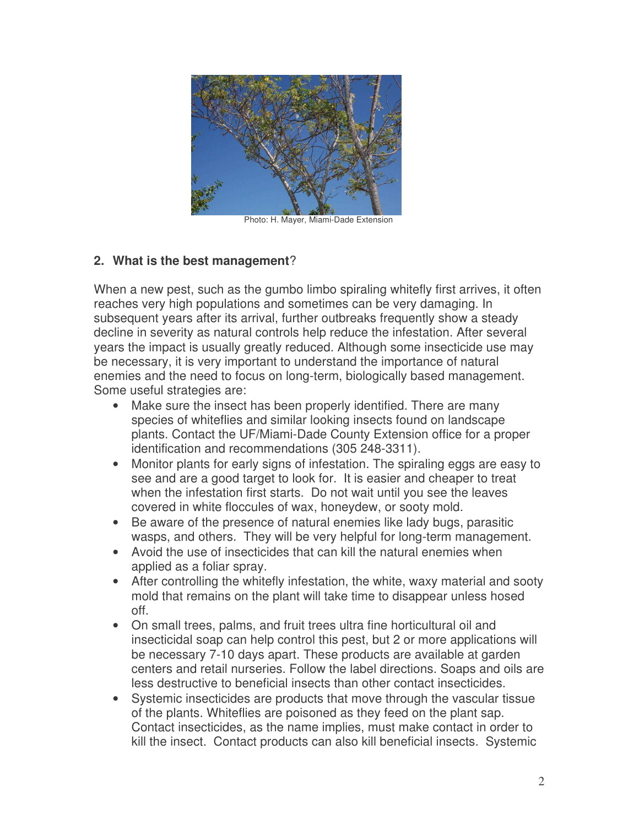

Photo: H. Mayer, Miami-Dade Extension

# **2. What is the best management**?

When a new pest, such as the gumbo limbo spiraling whitefly first arrives, it often reaches very high populations and sometimes can be very damaging. In subsequent years after its arrival, further outbreaks frequently show a steady decline in severity as natural controls help reduce the infestation. After several years the impact is usually greatly reduced. Although some insecticide use may be necessary, it is very important to understand the importance of natural enemies and the need to focus on long-term, biologically based management. Some useful strategies are:

- Make sure the insect has been properly identified. There are many species of whiteflies and similar looking insects found on landscape plants. Contact the UF/Miami-Dade County Extension office for a proper identification and recommendations (305 248-3311).
- Monitor plants for early signs of infestation. The spiraling eggs are easy to see and are a good target to look for. It is easier and cheaper to treat when the infestation first starts. Do not wait until you see the leaves covered in white floccules of wax, honeydew, or sooty mold.
- Be aware of the presence of natural enemies like lady bugs, parasitic wasps, and others. They will be very helpful for long-term management.
- Avoid the use of insecticides that can kill the natural enemies when applied as a foliar spray.
- After controlling the whitefly infestation, the white, waxy material and sooty mold that remains on the plant will take time to disappear unless hosed off.
- On small trees, palms, and fruit trees ultra fine horticultural oil and insecticidal soap can help control this pest, but 2 or more applications will be necessary 7-10 days apart. These products are available at garden centers and retail nurseries. Follow the label directions. Soaps and oils are less destructive to beneficial insects than other contact insecticides.
- Systemic insecticides are products that move through the vascular tissue of the plants. Whiteflies are poisoned as they feed on the plant sap. Contact insecticides, as the name implies, must make contact in order to kill the insect. Contact products can also kill beneficial insects. Systemic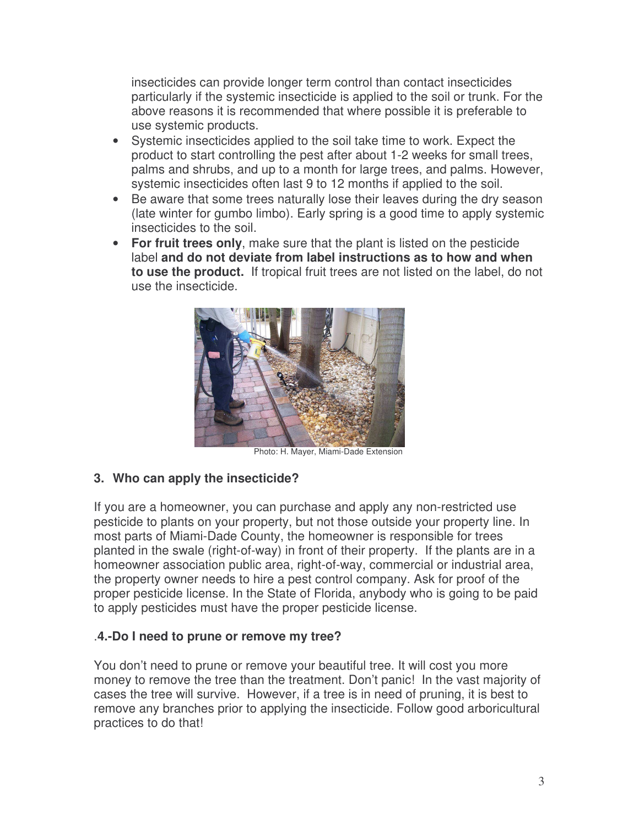insecticides can provide longer term control than contact insecticides particularly if the systemic insecticide is applied to the soil or trunk. For the above reasons it is recommended that where possible it is preferable to use systemic products.

- Systemic insecticides applied to the soil take time to work. Expect the product to start controlling the pest after about 1-2 weeks for small trees, palms and shrubs, and up to a month for large trees, and palms. However, systemic insecticides often last 9 to 12 months if applied to the soil.
- Be aware that some trees naturally lose their leaves during the dry season (late winter for gumbo limbo). Early spring is a good time to apply systemic insecticides to the soil.
- **For fruit trees only**, make sure that the plant is listed on the pesticide label **and do not deviate from label instructions as to how and when to use the product.** If tropical fruit trees are not listed on the label, do not use the insecticide.



Photo: H. Mayer, Miami-Dade Extension

## **3. Who can apply the insecticide?**

If you are a homeowner, you can purchase and apply any non-restricted use pesticide to plants on your property, but not those outside your property line. In most parts of Miami-Dade County, the homeowner is responsible for trees planted in the swale (right-of-way) in front of their property. If the plants are in a homeowner association public area, right-of-way, commercial or industrial area, the property owner needs to hire a pest control company. Ask for proof of the proper pesticide license. In the State of Florida, anybody who is going to be paid to apply pesticides must have the proper pesticide license.

## .**4.-Do I need to prune or remove my tree?**

You don't need to prune or remove your beautiful tree. It will cost you more money to remove the tree than the treatment. Don't panic! In the vast majority of cases the tree will survive. However, if a tree is in need of pruning, it is best to remove any branches prior to applying the insecticide. Follow good arboricultural practices to do that!